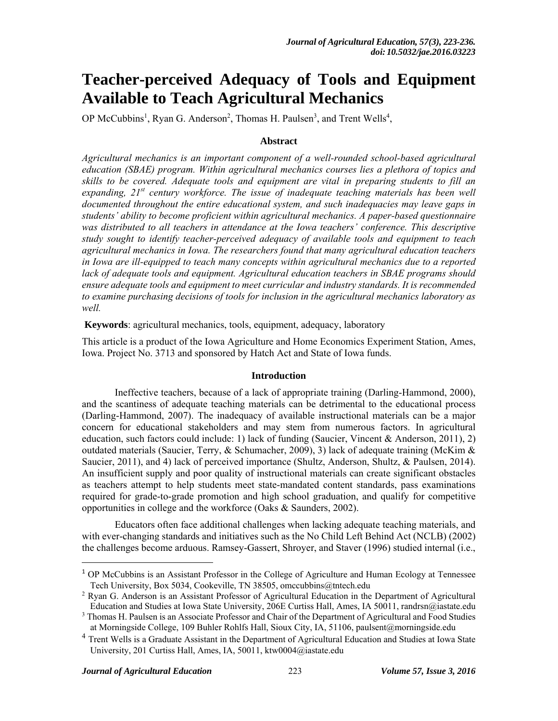# **Teacher-perceived Adequacy of Tools and Equipment Available to Teach Agricultural Mechanics**

OP McCubbins<sup>1</sup>, Ryan G. Anderson<sup>2</sup>, Thomas H. Paulsen<sup>3</sup>, and Trent Wells<sup>4</sup>,

# **Abstract**

*Agricultural mechanics is an important component of a well-rounded school-based agricultural education (SBAE) program. Within agricultural mechanics courses lies a plethora of topics and skills to be covered. Adequate tools and equipment are vital in preparing students to fill an expanding, 21st century workforce. The issue of inadequate teaching materials has been well documented throughout the entire educational system, and such inadequacies may leave gaps in students' ability to become proficient within agricultural mechanics. A paper-based questionnaire*  was distributed to all teachers in attendance at the Iowa teachers' conference. This descriptive *study sought to identify teacher-perceived adequacy of available tools and equipment to teach agricultural mechanics in Iowa. The researchers found that many agricultural education teachers in Iowa are ill-equipped to teach many concepts within agricultural mechanics due to a reported lack of adequate tools and equipment. Agricultural education teachers in SBAE programs should ensure adequate tools and equipment to meet curricular and industry standards. It is recommended to examine purchasing decisions of tools for inclusion in the agricultural mechanics laboratory as well.* 

 **Keywords**: agricultural mechanics, tools, equipment, adequacy, laboratory

This article is a product of the Iowa Agriculture and Home Economics Experiment Station, Ames, Iowa. Project No. 3713 and sponsored by Hatch Act and State of Iowa funds.

#### **Introduction**

Ineffective teachers, because of a lack of appropriate training (Darling-Hammond, 2000), and the scantiness of adequate teaching materials can be detrimental to the educational process (Darling-Hammond, 2007). The inadequacy of available instructional materials can be a major concern for educational stakeholders and may stem from numerous factors. In agricultural education, such factors could include: 1) lack of funding (Saucier, Vincent & Anderson, 2011), 2) outdated materials (Saucier, Terry, & Schumacher, 2009), 3) lack of adequate training (McKim & Saucier, 2011), and 4) lack of perceived importance (Shultz, Anderson, Shultz, & Paulsen, 2014). An insufficient supply and poor quality of instructional materials can create significant obstacles as teachers attempt to help students meet state-mandated content standards, pass examinations required for grade-to-grade promotion and high school graduation, and qualify for competitive opportunities in college and the workforce (Oaks & Saunders, 2002).

Educators often face additional challenges when lacking adequate teaching materials, and with ever-changing standards and initiatives such as the No Child Left Behind Act (NCLB) (2002) the challenges become arduous. Ramsey-Gassert, Shroyer, and Staver (1996) studied internal (i.e.,

 $\overline{a}$ 

<sup>1</sup> OP McCubbins is an Assistant Professor in the College of Agriculture and Human Ecology at Tennessee Tech University, Box 5034, Cookeville, TN 38505, omccubbins@tntech.edu

<sup>&</sup>lt;sup>2</sup> Ryan G. Anderson is an Assistant Professor of Agricultural Education in the Department of Agricultural Education and Studies at Iowa State University, 206E Curtiss Hall, Ames, IA 50011, randrsn@iastate.edu

<sup>&</sup>lt;sup>3</sup> Thomas H. Paulsen is an Associate Professor and Chair of the Department of Agricultural and Food Studies at Morningside College, 109 Buhler Rohlfs Hall, Sioux City, IA, 51106, paulsent@morningside.edu

<sup>&</sup>lt;sup>4</sup> Trent Wells is a Graduate Assistant in the Department of Agricultural Education and Studies at Iowa State University, 201 Curtiss Hall, Ames, IA, 50011, ktw0004@iastate.edu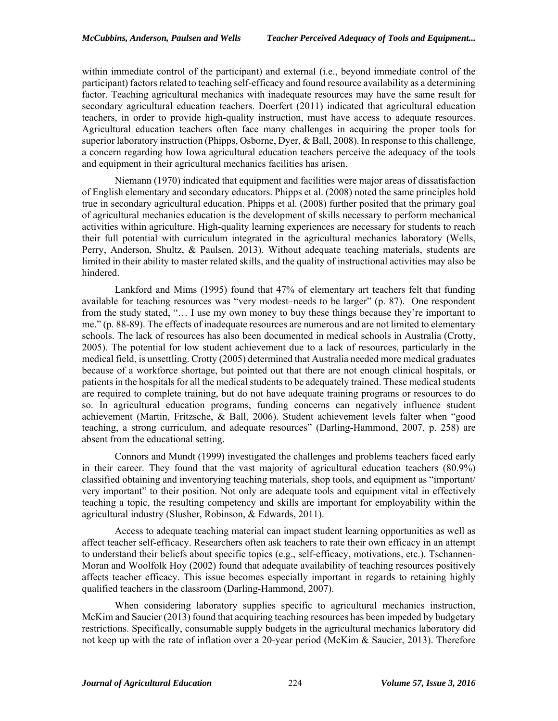within immediate control of the participant) and external (i.e., beyond immediate control of the participant) factors related to teaching self-efficacy and found resource availability as a determining factor. Teaching agricultural mechanics with inadequate resources may have the same result for secondary agricultural education teachers. Doerfert (2011) indicated that agricultural education teachers, in order to provide high-quality instruction, must have access to adequate resources. Agricultural education teachers often face many challenges in acquiring the proper tools for superior laboratory instruction (Phipps, Osborne, Dyer, & Ball, 2008). In response to this challenge, a concern regarding how Iowa agricultural education teachers perceive the adequacy of the tools and equipment in their agricultural mechanics facilities has arisen.

Niemann (1970) indicated that equipment and facilities were major areas of dissatisfaction of English elementary and secondary educators. Phipps et al. (2008) noted the same principles hold true in secondary agricultural education. Phipps et al. (2008) further posited that the primary goal of agricultural mechanics education is the development of skills necessary to perform mechanical activities within agriculture. High-quality learning experiences are necessary for students to reach their full potential with curriculum integrated in the agricultural mechanics laboratory (Wells, Perry, Anderson, Shultz, & Paulsen, 2013). Without adequate teaching materials, students are limited in their ability to master related skills, and the quality of instructional activities may also be hindered.

Lankford and Mims (1995) found that 47% of elementary art teachers felt that funding available for teaching resources was "very modest–needs to be larger" (p. 87). One respondent from the study stated, "… I use my own money to buy these things because they're important to me." (p. 88-89). The effects of inadequate resources are numerous and are not limited to elementary schools. The lack of resources has also been documented in medical schools in Australia (Crotty, 2005). The potential for low student achievement due to a lack of resources, particularly in the medical field, is unsettling. Crotty (2005) determined that Australia needed more medical graduates because of a workforce shortage, but pointed out that there are not enough clinical hospitals, or patients in the hospitals for all the medical students to be adequately trained. These medical students are required to complete training, but do not have adequate training programs or resources to do so. In agricultural education programs, funding concerns can negatively influence student achievement (Martin, Fritzsche, & Ball, 2006). Student achievement levels falter when "good teaching, a strong curriculum, and adequate resources" (Darling-Hammond, 2007, p. 258) are absent from the educational setting.

Connors and Mundt (1999) investigated the challenges and problems teachers faced early in their career. They found that the vast majority of agricultural education teachers (80.9%) classified obtaining and inventorying teaching materials, shop tools, and equipment as "important/ very important" to their position. Not only are adequate tools and equipment vital in effectively teaching a topic, the resulting competency and skills are important for employability within the agricultural industry (Slusher, Robinson, & Edwards, 2011).

Access to adequate teaching material can impact student learning opportunities as well as affect teacher self-efficacy. Researchers often ask teachers to rate their own efficacy in an attempt to understand their beliefs about specific topics (e.g., self-efficacy, motivations, etc.). Tschannen-Moran and Woolfolk Hoy (2002) found that adequate availability of teaching resources positively affects teacher efficacy. This issue becomes especially important in regards to retaining highly qualified teachers in the classroom (Darling-Hammond, 2007).

When considering laboratory supplies specific to agricultural mechanics instruction, McKim and Saucier (2013) found that acquiring teaching resources has been impeded by budgetary restrictions. Specifically, consumable supply budgets in the agricultural mechanics laboratory did not keep up with the rate of inflation over a 20-year period (McKim & Saucier, 2013). Therefore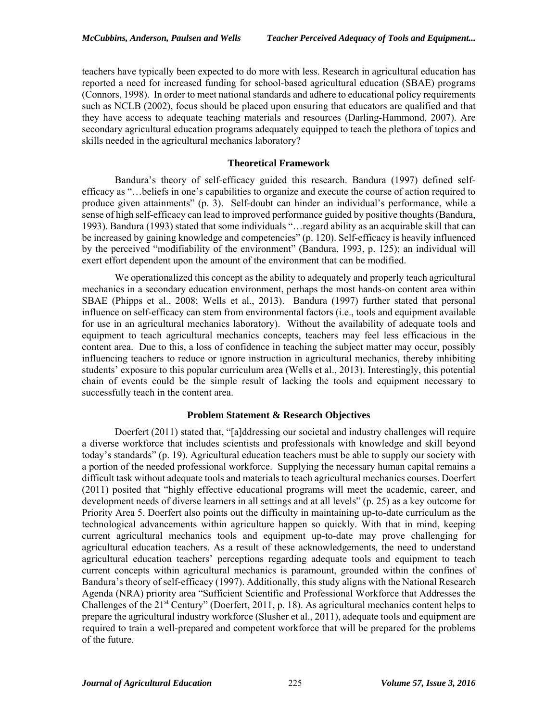teachers have typically been expected to do more with less. Research in agricultural education has reported a need for increased funding for school-based agricultural education (SBAE) programs (Connors, 1998). In order to meet national standards and adhere to educational policy requirements such as NCLB (2002), focus should be placed upon ensuring that educators are qualified and that they have access to adequate teaching materials and resources (Darling-Hammond, 2007). Are secondary agricultural education programs adequately equipped to teach the plethora of topics and skills needed in the agricultural mechanics laboratory?

# **Theoretical Framework**

 Bandura's theory of self-efficacy guided this research. Bandura (1997) defined selfefficacy as "…beliefs in one's capabilities to organize and execute the course of action required to produce given attainments" (p. 3). Self-doubt can hinder an individual's performance, while a sense of high self-efficacy can lead to improved performance guided by positive thoughts (Bandura, 1993). Bandura (1993) stated that some individuals "…regard ability as an acquirable skill that can be increased by gaining knowledge and competencies" (p. 120). Self-efficacy is heavily influenced by the perceived "modifiability of the environment" (Bandura, 1993, p. 125); an individual will exert effort dependent upon the amount of the environment that can be modified.

We operationalized this concept as the ability to adequately and properly teach agricultural mechanics in a secondary education environment, perhaps the most hands-on content area within SBAE (Phipps et al., 2008; Wells et al., 2013). Bandura (1997) further stated that personal influence on self-efficacy can stem from environmental factors (i.e., tools and equipment available for use in an agricultural mechanics laboratory). Without the availability of adequate tools and equipment to teach agricultural mechanics concepts, teachers may feel less efficacious in the content area. Due to this, a loss of confidence in teaching the subject matter may occur, possibly influencing teachers to reduce or ignore instruction in agricultural mechanics, thereby inhibiting students' exposure to this popular curriculum area (Wells et al., 2013). Interestingly, this potential chain of events could be the simple result of lacking the tools and equipment necessary to successfully teach in the content area.

# **Problem Statement & Research Objectives**

Doerfert (2011) stated that, "[a]ddressing our societal and industry challenges will require a diverse workforce that includes scientists and professionals with knowledge and skill beyond today's standards" (p. 19). Agricultural education teachers must be able to supply our society with a portion of the needed professional workforce. Supplying the necessary human capital remains a difficult task without adequate tools and materials to teach agricultural mechanics courses. Doerfert (2011) posited that "highly effective educational programs will meet the academic, career, and development needs of diverse learners in all settings and at all levels" (p. 25) as a key outcome for Priority Area 5. Doerfert also points out the difficulty in maintaining up-to-date curriculum as the technological advancements within agriculture happen so quickly. With that in mind, keeping current agricultural mechanics tools and equipment up-to-date may prove challenging for agricultural education teachers. As a result of these acknowledgements, the need to understand agricultural education teachers' perceptions regarding adequate tools and equipment to teach current concepts within agricultural mechanics is paramount, grounded within the confines of Bandura's theory of self-efficacy (1997). Additionally, this study aligns with the National Research Agenda (NRA) priority area "Sufficient Scientific and Professional Workforce that Addresses the Challenges of the  $21^{st}$  Century" (Doerfert, 2011, p. 18). As agricultural mechanics content helps to prepare the agricultural industry workforce (Slusher et al., 2011), adequate tools and equipment are required to train a well-prepared and competent workforce that will be prepared for the problems of the future.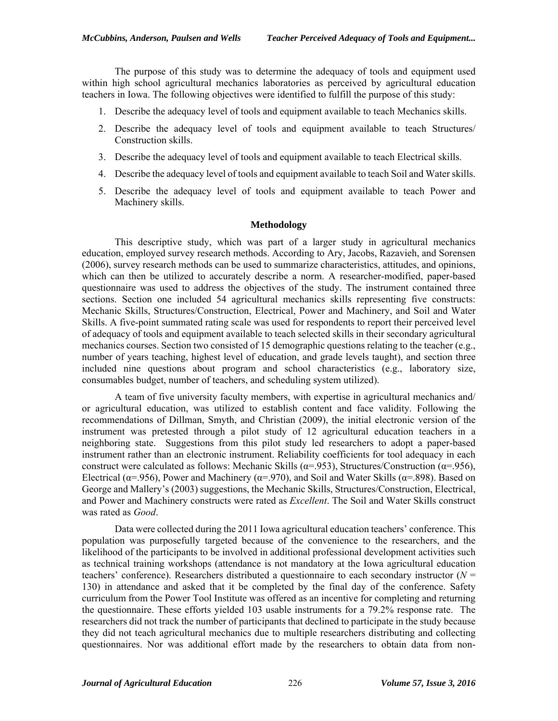The purpose of this study was to determine the adequacy of tools and equipment used within high school agricultural mechanics laboratories as perceived by agricultural education teachers in Iowa. The following objectives were identified to fulfill the purpose of this study:

- 1. Describe the adequacy level of tools and equipment available to teach Mechanics skills.
- 2. Describe the adequacy level of tools and equipment available to teach Structures/ Construction skills.
- 3. Describe the adequacy level of tools and equipment available to teach Electrical skills.
- 4. Describe the adequacy level of tools and equipment available to teach Soil and Water skills.
- 5. Describe the adequacy level of tools and equipment available to teach Power and Machinery skills.

#### **Methodology**

This descriptive study, which was part of a larger study in agricultural mechanics education, employed survey research methods. According to Ary, Jacobs, Razavieh, and Sorensen (2006), survey research methods can be used to summarize characteristics, attitudes, and opinions, which can then be utilized to accurately describe a norm. A researcher-modified, paper-based questionnaire was used to address the objectives of the study. The instrument contained three sections. Section one included 54 agricultural mechanics skills representing five constructs: Mechanic Skills, Structures/Construction, Electrical, Power and Machinery, and Soil and Water Skills. A five-point summated rating scale was used for respondents to report their perceived level of adequacy of tools and equipment available to teach selected skills in their secondary agricultural mechanics courses. Section two consisted of 15 demographic questions relating to the teacher (e.g., number of years teaching, highest level of education, and grade levels taught), and section three included nine questions about program and school characteristics (e.g., laboratory size, consumables budget, number of teachers, and scheduling system utilized).

A team of five university faculty members, with expertise in agricultural mechanics and/ or agricultural education, was utilized to establish content and face validity. Following the recommendations of Dillman, Smyth, and Christian (2009), the initial electronic version of the instrument was pretested through a pilot study of 12 agricultural education teachers in a neighboring state. Suggestions from this pilot study led researchers to adopt a paper-based instrument rather than an electronic instrument. Reliability coefficients for tool adequacy in each construct were calculated as follows: Mechanic Skills ( $\alpha$ =.953), Structures/Construction ( $\alpha$ =.956), Electrical ( $\alpha$ =.956), Power and Machinery ( $\alpha$ =.970), and Soil and Water Skills ( $\alpha$ =.898). Based on George and Mallery's (2003) suggestions, the Mechanic Skills, Structures/Construction, Electrical, and Power and Machinery constructs were rated as *Excellent*. The Soil and Water Skills construct was rated as *Good*.

 Data were collected during the 2011 Iowa agricultural education teachers' conference. This population was purposefully targeted because of the convenience to the researchers, and the likelihood of the participants to be involved in additional professional development activities such as technical training workshops (attendance is not mandatory at the Iowa agricultural education teachers' conference). Researchers distributed a questionnaire to each secondary instructor  $(N =$ 130) in attendance and asked that it be completed by the final day of the conference. Safety curriculum from the Power Tool Institute was offered as an incentive for completing and returning the questionnaire. These efforts yielded 103 usable instruments for a 79.2% response rate. The researchers did not track the number of participants that declined to participate in the study because they did not teach agricultural mechanics due to multiple researchers distributing and collecting questionnaires. Nor was additional effort made by the researchers to obtain data from non-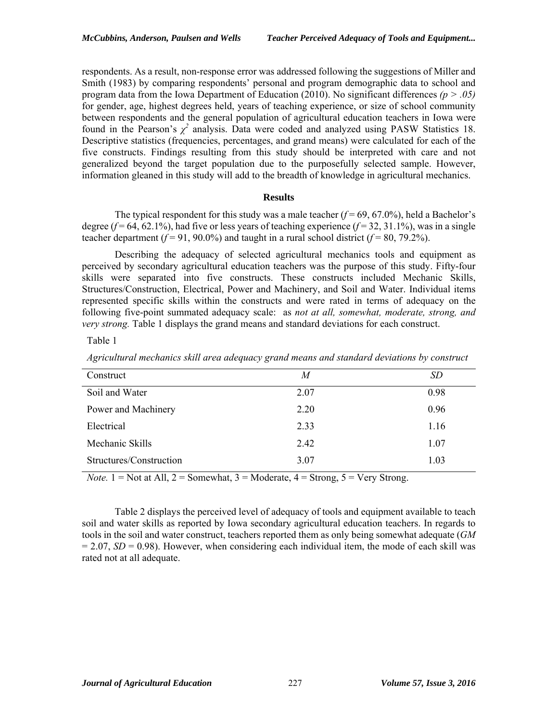respondents. As a result, non-response error was addressed following the suggestions of Miller and Smith (1983) by comparing respondents' personal and program demographic data to school and program data from the Iowa Department of Education (2010). No significant differences *(p > .05)*  for gender, age, highest degrees held, years of teaching experience, or size of school community between respondents and the general population of agricultural education teachers in Iowa were found in the Pearson's  $\chi^2$  analysis. Data were coded and analyzed using PASW Statistics 18. Descriptive statistics (frequencies, percentages, and grand means) were calculated for each of the five constructs. Findings resulting from this study should be interpreted with care and not generalized beyond the target population due to the purposefully selected sample. However, information gleaned in this study will add to the breadth of knowledge in agricultural mechanics.

#### **Results**

The typical respondent for this study was a male teacher  $(f=69, 67.0\%)$ , held a Bachelor's degree  $(f = 64, 62.1\%)$ , had five or less years of teaching experience  $(f = 32, 31.1\%)$ , was in a single teacher department  $(f = 91, 90.0\%)$  and taught in a rural school district  $(f = 80, 79.2\%)$ .

Describing the adequacy of selected agricultural mechanics tools and equipment as perceived by secondary agricultural education teachers was the purpose of this study. Fifty-four skills were separated into five constructs. These constructs included Mechanic Skills, Structures/Construction, Electrical, Power and Machinery, and Soil and Water. Individual items represented specific skills within the constructs and were rated in terms of adequacy on the following five-point summated adequacy scale: as *not at all, somewhat, moderate, strong, and very strong.* Table 1 displays the grand means and standard deviations for each construct.

Table 1

*Agricultural mechanics skill area adequacy grand means and standard deviations by construct* 

| Construct               | M    | SD   |
|-------------------------|------|------|
| Soil and Water          | 2.07 | 0.98 |
| Power and Machinery     | 2.20 | 0.96 |
| Electrical              | 2.33 | 1.16 |
| Mechanic Skills         | 2.42 | 1.07 |
| Structures/Construction | 3.07 | 1.03 |

*Note.*  $1 = Not$  at All,  $2 = Somewhat$ ,  $3 = Modernated$ ,  $4 = Strong$ ,  $5 = Very Strong$ .

Table 2 displays the perceived level of adequacy of tools and equipment available to teach soil and water skills as reported by Iowa secondary agricultural education teachers. In regards to tools in the soil and water construct, teachers reported them as only being somewhat adequate (*GM*   $= 2.07$ , *SD* = 0.98). However, when considering each individual item, the mode of each skill was rated not at all adequate.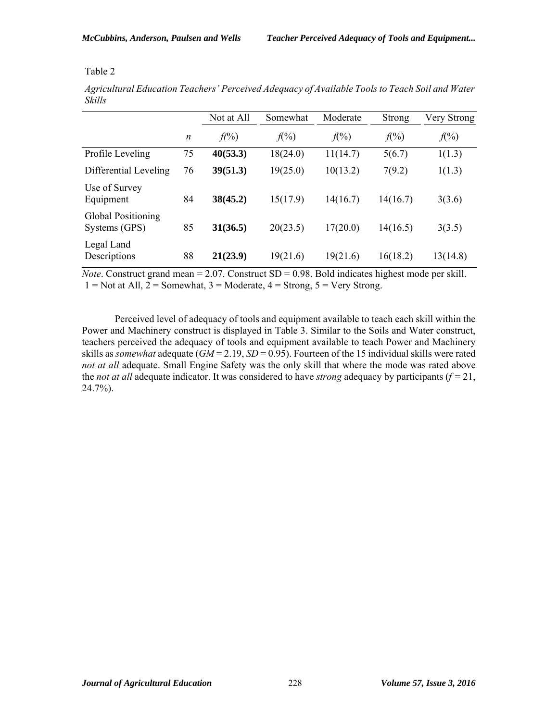*Agricultural Education Teachers' Perceived Adequacy of Available Tools to Teach Soil and Water Skills*

|                                            |                  | Not at All     | Somewhat | Moderate | Strong   | Very Strong |
|--------------------------------------------|------------------|----------------|----------|----------|----------|-------------|
|                                            | $\boldsymbol{n}$ | $f(^{0}/_{0})$ | $f(\%)$  | $f(\%)$  | $f(\%)$  | $f(\%)$     |
| Profile Leveling                           | 75               | 40(53.3)       | 18(24.0) | 11(14.7) | 5(6.7)   | 1(1.3)      |
| Differential Leveling                      | 76               | 39(51.3)       | 19(25.0) | 10(13.2) | 7(9.2)   | 1(1.3)      |
| Use of Survey<br>Equipment                 | 84               | 38(45.2)       | 15(17.9) | 14(16.7) | 14(16.7) | 3(3.6)      |
| <b>Global Positioning</b><br>Systems (GPS) | 85               | 31(36.5)       | 20(23.5) | 17(20.0) | 14(16.5) | 3(3.5)      |
| Legal Land<br>Descriptions                 | 88               | 21(23.9)       | 19(21.6) | 19(21.6) | 16(18.2) | 13(14.8)    |

*Note*. Construct grand mean = 2.07. Construct SD = 0.98. Bold indicates highest mode per skill.  $1 = Not at All, 2 = Somewhat, 3 = Modern, 4 = Strong, 5 = Very Strong.$ 

Perceived level of adequacy of tools and equipment available to teach each skill within the Power and Machinery construct is displayed in Table 3. Similar to the Soils and Water construct, teachers perceived the adequacy of tools and equipment available to teach Power and Machinery skills as *somewhat* adequate (*GM* = 2.19, *SD* = 0.95). Fourteen of the 15 individual skills were rated *not at all* adequate. Small Engine Safety was the only skill that where the mode was rated above the *not at all* adequate indicator. It was considered to have *strong* adequacy by participants  $(f = 21)$ , 24.7%).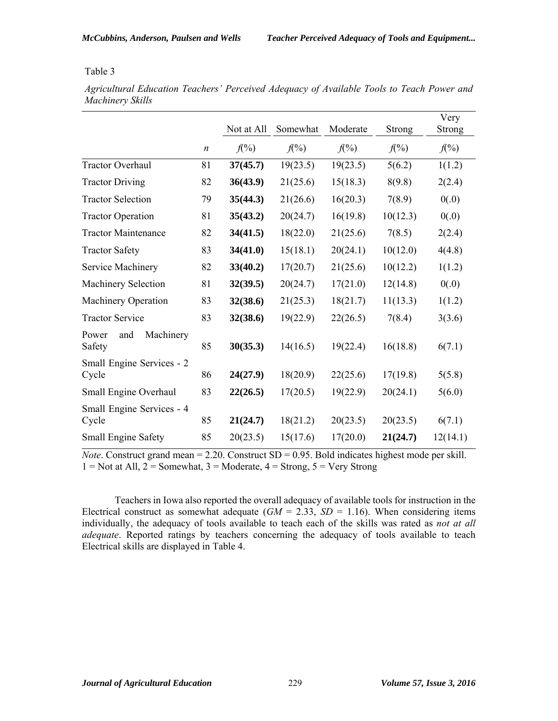|                                     |                  |                  |                  |                  |                  | Very             |
|-------------------------------------|------------------|------------------|------------------|------------------|------------------|------------------|
|                                     |                  | Not at All       | Somewhat         | Moderate         | Strong           | Strong           |
|                                     | $\boldsymbol{n}$ | $f(\frac{9}{6})$ | $f(\frac{9}{6})$ | $f(\frac{9}{6})$ | $f(\frac{9}{6})$ | $f(\frac{9}{6})$ |
| <b>Tractor Overhaul</b>             | 81               | 37(45.7)         | 19(23.5)         | 19(23.5)         | 5(6.2)           | 1(1.2)           |
| <b>Tractor Driving</b>              | 82               | 36(43.9)         | 21(25.6)         | 15(18.3)         | 8(9.8)           | 2(2.4)           |
| <b>Tractor Selection</b>            | 79               | 35(44.3)         | 21(26.6)         | 16(20.3)         | 7(8.9)           | 0(.0)            |
| <b>Tractor Operation</b>            | 81               | 35(43.2)         | 20(24.7)         | 16(19.8)         | 10(12.3)         | 0(.0)            |
| <b>Tractor Maintenance</b>          | 82               | 34(41.5)         | 18(22.0)         | 21(25.6)         | 7(8.5)           | 2(2.4)           |
| <b>Tractor Safety</b>               | 83               | 34(41.0)         | 15(18.1)         | 20(24.1)         | 10(12.0)         | 4(4.8)           |
| Service Machinery                   | 82               | 33(40.2)         | 17(20.7)         | 21(25.6)         | 10(12.2)         | 1(1.2)           |
| <b>Machinery Selection</b>          | 81               | 32(39.5)         | 20(24.7)         | 17(21.0)         | 12(14.8)         | 0(.0)            |
| Machinery Operation                 | 83               | 32(38.6)         | 21(25.3)         | 18(21.7)         | 11(13.3)         | 1(1.2)           |
| <b>Tractor Service</b>              | 83               | 32(38.6)         | 19(22.9)         | 22(26.5)         | 7(8.4)           | 3(3.6)           |
| Machinery<br>and<br>Power<br>Safety | 85               | 30(35.3)         | 14(16.5)         | 19(22.4)         | 16(18.8)         | 6(7.1)           |
| Small Engine Services - 2<br>Cycle  | 86               | 24(27.9)         | 18(20.9)         | 22(25.6)         | 17(19.8)         | 5(5.8)           |
| Small Engine Overhaul               | 83               | 22(26.5)         | 17(20.5)         | 19(22.9)         | 20(24.1)         | 5(6.0)           |
| Small Engine Services - 4<br>Cycle  | 85               | 21(24.7)         | 18(21.2)         | 20(23.5)         | 20(23.5)         | 6(7.1)           |
| <b>Small Engine Safety</b>          | 85               | 20(23.5)         | 15(17.6)         | 17(20.0)         | 21(24.7)         | 12(14.1)         |

*Agricultural Education Teachers' Perceived Adequacy of Available Tools to Teach Power and Machinery Skills*

*Note*. Construct grand mean = 2.20. Construct SD = 0.95. Bold indicates highest mode per skill.  $1 = Not at All, 2 = Somewhat, 3 = Modern, 4 = Strong, 5 = Very Strong$ 

Teachers in Iowa also reported the overall adequacy of available tools for instruction in the Electrical construct as somewhat adequate  $(GM = 2.33, SD = 1.16)$ . When considering items individually, the adequacy of tools available to teach each of the skills was rated as *not at all adequate*. Reported ratings by teachers concerning the adequacy of tools available to teach Electrical skills are displayed in Table 4.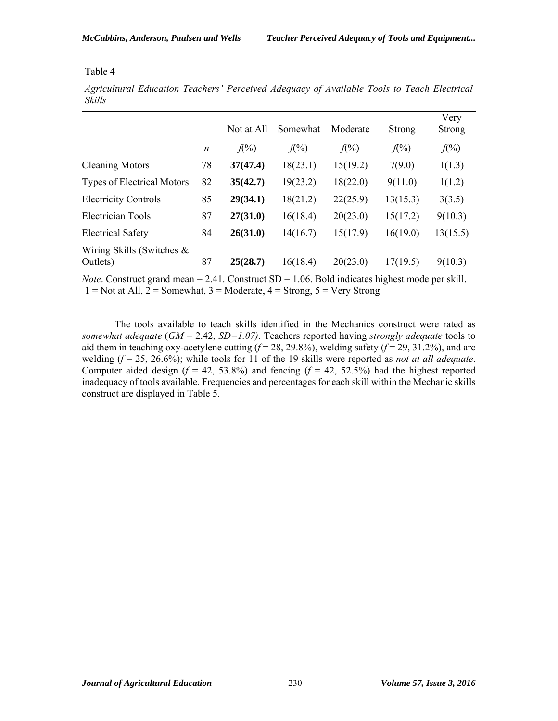*Agricultural Education Teachers' Perceived Adequacy of Available Tools to Teach Electrical Skills*

|                                          |                  | Not at All | Somewhat | Moderate | <b>Strong</b> | Very<br><b>Strong</b> |
|------------------------------------------|------------------|------------|----------|----------|---------------|-----------------------|
|                                          | $\boldsymbol{n}$ | $f(\%)$    | $f(\%)$  | $f(\%)$  | $f(\%)$       | $f(\%)$               |
| <b>Cleaning Motors</b>                   | 78               | 37(47.4)   | 18(23.1) | 15(19.2) | 7(9.0)        | 1(1.3)                |
| <b>Types of Electrical Motors</b>        | 82               | 35(42.7)   | 19(23.2) | 18(22.0) | 9(11.0)       | 1(1.2)                |
| <b>Electricity Controls</b>              | 85               | 29(34.1)   | 18(21.2) | 22(25.9) | 13(15.3)      | 3(3.5)                |
| <b>Electrician Tools</b>                 | 87               | 27(31.0)   | 16(18.4) | 20(23.0) | 15(17.2)      | 9(10.3)               |
| <b>Electrical Safety</b>                 | 84               | 26(31.0)   | 14(16.7) | 15(17.9) | 16(19.0)      | 13(15.5)              |
| Wiring Skills (Switches $\&$<br>Outlets) | 87               | 25(28.7)   | 16(18.4) | 20(23.0) | 17(19.5)      | 9(10.3)               |

*Note*. Construct grand mean = 2.41. Construct SD = 1.06. Bold indicates highest mode per skill.  $1 = Not at All, 2 = Somewhat, 3 = Modern, 4 = Strong, 5 = Very Strong$ 

The tools available to teach skills identified in the Mechanics construct were rated as *somewhat adequate* (*GM* = 2.42, *SD=1.07)*. Teachers reported having *strongly adequate* tools to aid them in teaching oxy-acetylene cutting  $(f=28, 29.8\%)$ , welding safety  $(f=29, 31.2\%)$ , and arc welding (*f* = 25, 26.6%); while tools for 11 of the 19 skills were reported as *not at all adequate*. Computer aided design  $(f = 42, 53.8\%)$  and fencing  $(f = 42, 52.5\%)$  had the highest reported inadequacy of tools available. Frequencies and percentages for each skill within the Mechanic skills construct are displayed in Table 5.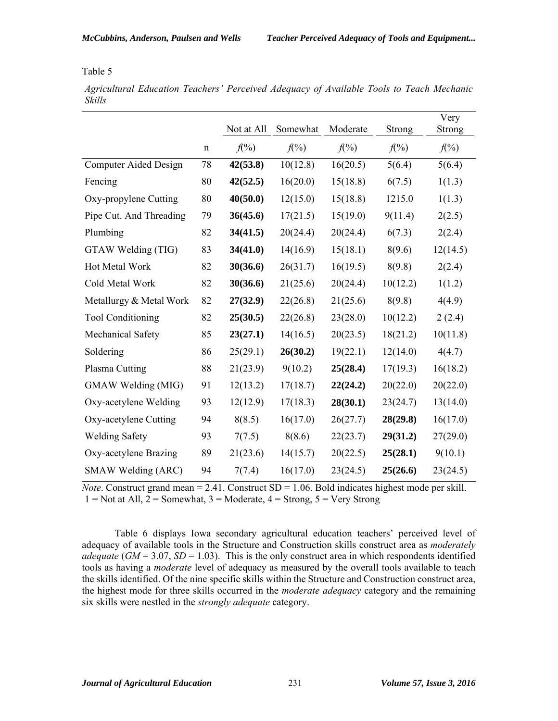*Agricultural Education Teachers' Perceived Adequacy of Available Tools to Teach Mechanic Skills* 

|                              |             | Not at All       | Somewhat         | Moderate         | Strong           | Very<br>Strong   |
|------------------------------|-------------|------------------|------------------|------------------|------------------|------------------|
|                              | $\mathbf n$ | $f(\frac{9}{6})$ | $f(\frac{9}{6})$ | $f(\frac{9}{6})$ | $f(\frac{9}{6})$ | $f(\frac{9}{6})$ |
| <b>Computer Aided Design</b> | 78          | 42(53.8)         | 10(12.8)         | 16(20.5)         | 5(6.4)           | 5(6.4)           |
| Fencing                      | 80          | 42(52.5)         | 16(20.0)         | 15(18.8)         | 6(7.5)           | 1(1.3)           |
| Oxy-propylene Cutting        | 80          | 40(50.0)         | 12(15.0)         | 15(18.8)         | 1215.0           | 1(1.3)           |
| Pipe Cut. And Threading      | 79          | 36(45.6)         | 17(21.5)         | 15(19.0)         | 9(11.4)          | 2(2.5)           |
| Plumbing                     | 82          | 34(41.5)         | 20(24.4)         | 20(24.4)         | 6(7.3)           | 2(2.4)           |
| GTAW Welding (TIG)           | 83          | 34(41.0)         | 14(16.9)         | 15(18.1)         | 8(9.6)           | 12(14.5)         |
| Hot Metal Work               | 82          | 30(36.6)         | 26(31.7)         | 16(19.5)         | 8(9.8)           | 2(2.4)           |
| Cold Metal Work              | 82          | 30(36.6)         | 21(25.6)         | 20(24.4)         | 10(12.2)         | 1(1.2)           |
| Metallurgy & Metal Work      | 82          | 27(32.9)         | 22(26.8)         | 21(25.6)         | 8(9.8)           | 4(4.9)           |
| <b>Tool Conditioning</b>     | 82          | 25(30.5)         | 22(26.8)         | 23(28.0)         | 10(12.2)         | 2(2.4)           |
| Mechanical Safety            | 85          | 23(27.1)         | 14(16.5)         | 20(23.5)         | 18(21.2)         | 10(11.8)         |
| Soldering                    | 86          | 25(29.1)         | 26(30.2)         | 19(22.1)         | 12(14.0)         | 4(4.7)           |
| Plasma Cutting               | 88          | 21(23.9)         | 9(10.2)          | 25(28.4)         | 17(19.3)         | 16(18.2)         |
| GMAW Welding (MIG)           | 91          | 12(13.2)         | 17(18.7)         | 22(24.2)         | 20(22.0)         | 20(22.0)         |
| Oxy-acetylene Welding        | 93          | 12(12.9)         | 17(18.3)         | 28(30.1)         | 23(24.7)         | 13(14.0)         |
| Oxy-acetylene Cutting        | 94          | 8(8.5)           | 16(17.0)         | 26(27.7)         | 28(29.8)         | 16(17.0)         |
| <b>Welding Safety</b>        | 93          | 7(7.5)           | 8(8.6)           | 22(23.7)         | 29(31.2)         | 27(29.0)         |
| Oxy-acetylene Brazing        | 89          | 21(23.6)         | 14(15.7)         | 20(22.5)         | 25(28.1)         | 9(10.1)          |
| SMAW Welding (ARC)           | 94          | 7(7.4)           | 16(17.0)         | 23(24.5)         | 25(26.6)         | 23(24.5)         |

*Note*. Construct grand mean = 2.41. Construct  $SD = 1.06$ . Bold indicates highest mode per skill.  $1 = Not at All, 2 = Somewhat, 3 = Modern, 4 = Strong, 5 = Very Strong$ 

Table 6 displays Iowa secondary agricultural education teachers' perceived level of adequacy of available tools in the Structure and Construction skills construct area as *moderately adequate* ( $GM = 3.07$ ,  $SD = 1.03$ ). This is the only construct area in which respondents identified tools as having a *moderate* level of adequacy as measured by the overall tools available to teach the skills identified. Of the nine specific skills within the Structure and Construction construct area, the highest mode for three skills occurred in the *moderate adequacy* category and the remaining six skills were nestled in the *strongly adequate* category.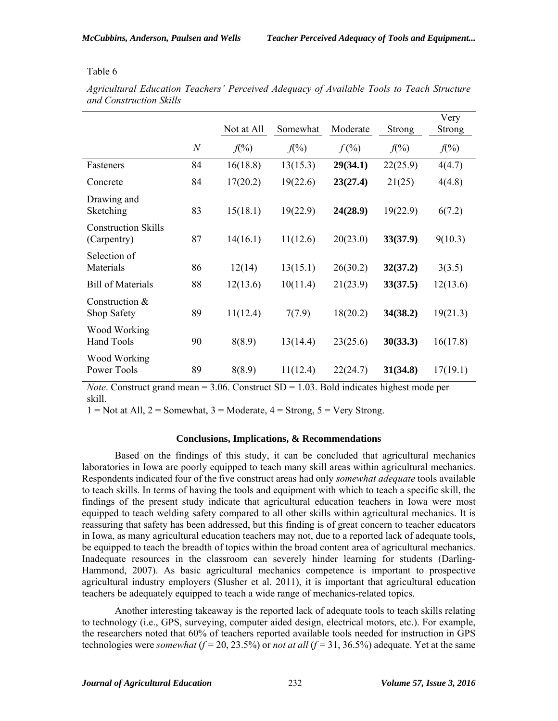|                                           |                  | Not at All | Somewhat | Moderate | <b>Strong</b> | Very<br>Strong |
|-------------------------------------------|------------------|------------|----------|----------|---------------|----------------|
|                                           | $\boldsymbol{N}$ | $f(\%)$    | $f(\%)$  | $f(\%)$  | $f(\%)$       | $f(\%)$        |
| Fasteners                                 | 84               | 16(18.8)   | 13(15.3) | 29(34.1) | 22(25.9)      | 4(4.7)         |
| Concrete                                  | 84               | 17(20.2)   | 19(22.6) | 23(27.4) | 21(25)        | 4(4.8)         |
| Drawing and<br>Sketching                  | 83               | 15(18.1)   | 19(22.9) | 24(28.9) | 19(22.9)      | 6(7.2)         |
| <b>Construction Skills</b><br>(Carpentry) | 87               | 14(16.1)   | 11(12.6) | 20(23.0) | 33(37.9)      | 9(10.3)        |
| Selection of<br>Materials                 | 86               | 12(14)     | 13(15.1) | 26(30.2) | 32(37.2)      | 3(3.5)         |
| <b>Bill of Materials</b>                  | 88               | 12(13.6)   | 10(11.4) | 21(23.9) | 33(37.5)      | 12(13.6)       |
| Construction $&$<br>Shop Safety           | 89               | 11(12.4)   | 7(7.9)   | 18(20.2) | 34(38.2)      | 19(21.3)       |
| Wood Working<br><b>Hand Tools</b>         | 90               | 8(8.9)     | 13(14.4) | 23(25.6) | 30(33.3)      | 16(17.8)       |
| Wood Working<br>Power Tools               | 89               | 8(8.9)     | 11(12.4) | 22(24.7) | 31(34.8)      | 17(19.1)       |

*Agricultural Education Teachers' Perceived Adequacy of Available Tools to Teach Structure and Construction Skills*

*Note*. Construct grand mean  $= 3.06$ . Construct  $SD = 1.03$ . Bold indicates highest mode per skill.

 $1 = Not at All, 2 = Somewhat, 3 = Modern, 4 = Strong, 5 = Very Strong.$ 

# **Conclusions, Implications, & Recommendations**

Based on the findings of this study, it can be concluded that agricultural mechanics laboratories in Iowa are poorly equipped to teach many skill areas within agricultural mechanics. Respondents indicated four of the five construct areas had only *somewhat adequate* tools available to teach skills. In terms of having the tools and equipment with which to teach a specific skill, the findings of the present study indicate that agricultural education teachers in Iowa were most equipped to teach welding safety compared to all other skills within agricultural mechanics. It is reassuring that safety has been addressed, but this finding is of great concern to teacher educators in Iowa, as many agricultural education teachers may not, due to a reported lack of adequate tools, be equipped to teach the breadth of topics within the broad content area of agricultural mechanics. Inadequate resources in the classroom can severely hinder learning for students (Darling-Hammond, 2007). As basic agricultural mechanics competence is important to prospective agricultural industry employers (Slusher et al. 2011), it is important that agricultural education teachers be adequately equipped to teach a wide range of mechanics-related topics.

Another interesting takeaway is the reported lack of adequate tools to teach skills relating to technology (i.e., GPS, surveying, computer aided design, electrical motors, etc.). For example, the researchers noted that 60% of teachers reported available tools needed for instruction in GPS technologies were *somewhat*  $(f = 20, 23.5\%)$  or *not at all*  $(f = 31, 36.5\%)$  adequate. Yet at the same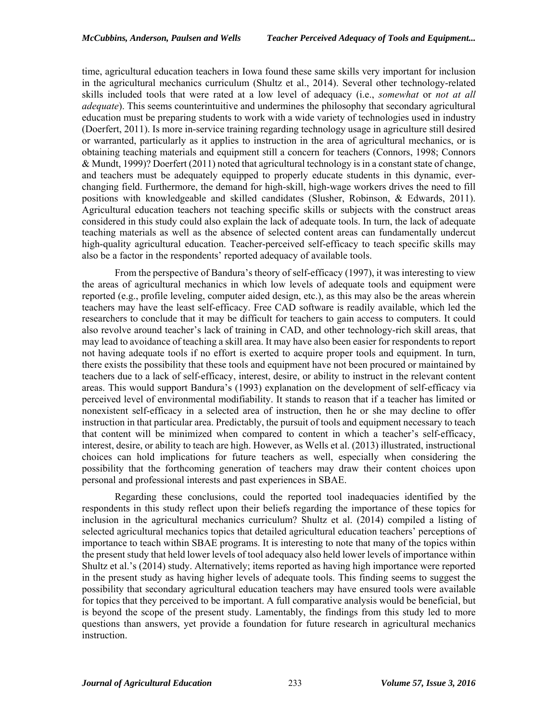time, agricultural education teachers in Iowa found these same skills very important for inclusion in the agricultural mechanics curriculum (Shultz et al., 2014). Several other technology-related skills included tools that were rated at a low level of adequacy (i.e., *somewhat* or *not at all adequate*). This seems counterintuitive and undermines the philosophy that secondary agricultural education must be preparing students to work with a wide variety of technologies used in industry (Doerfert, 2011). Is more in-service training regarding technology usage in agriculture still desired or warranted, particularly as it applies to instruction in the area of agricultural mechanics, or is obtaining teaching materials and equipment still a concern for teachers (Connors, 1998; Connors & Mundt, 1999)? Doerfert (2011) noted that agricultural technology is in a constant state of change, and teachers must be adequately equipped to properly educate students in this dynamic, everchanging field. Furthermore, the demand for high-skill, high-wage workers drives the need to fill positions with knowledgeable and skilled candidates (Slusher, Robinson, & Edwards, 2011). Agricultural education teachers not teaching specific skills or subjects with the construct areas considered in this study could also explain the lack of adequate tools. In turn, the lack of adequate teaching materials as well as the absence of selected content areas can fundamentally undercut high-quality agricultural education. Teacher-perceived self-efficacy to teach specific skills may also be a factor in the respondents' reported adequacy of available tools.

From the perspective of Bandura's theory of self-efficacy (1997), it was interesting to view the areas of agricultural mechanics in which low levels of adequate tools and equipment were reported (e.g., profile leveling, computer aided design, etc.), as this may also be the areas wherein teachers may have the least self-efficacy. Free CAD software is readily available, which led the researchers to conclude that it may be difficult for teachers to gain access to computers. It could also revolve around teacher's lack of training in CAD, and other technology-rich skill areas, that may lead to avoidance of teaching a skill area. It may have also been easier for respondents to report not having adequate tools if no effort is exerted to acquire proper tools and equipment. In turn, there exists the possibility that these tools and equipment have not been procured or maintained by teachers due to a lack of self-efficacy, interest, desire, or ability to instruct in the relevant content areas. This would support Bandura's (1993) explanation on the development of self-efficacy via perceived level of environmental modifiability. It stands to reason that if a teacher has limited or nonexistent self-efficacy in a selected area of instruction, then he or she may decline to offer instruction in that particular area. Predictably, the pursuit of tools and equipment necessary to teach that content will be minimized when compared to content in which a teacher's self-efficacy, interest, desire, or ability to teach are high. However, as Wells et al. (2013) illustrated, instructional choices can hold implications for future teachers as well, especially when considering the possibility that the forthcoming generation of teachers may draw their content choices upon personal and professional interests and past experiences in SBAE.

Regarding these conclusions, could the reported tool inadequacies identified by the respondents in this study reflect upon their beliefs regarding the importance of these topics for inclusion in the agricultural mechanics curriculum? Shultz et al. (2014) compiled a listing of selected agricultural mechanics topics that detailed agricultural education teachers' perceptions of importance to teach within SBAE programs. It is interesting to note that many of the topics within the present study that held lower levels of tool adequacy also held lower levels of importance within Shultz et al.'s (2014) study. Alternatively; items reported as having high importance were reported in the present study as having higher levels of adequate tools. This finding seems to suggest the possibility that secondary agricultural education teachers may have ensured tools were available for topics that they perceived to be important. A full comparative analysis would be beneficial, but is beyond the scope of the present study. Lamentably, the findings from this study led to more questions than answers, yet provide a foundation for future research in agricultural mechanics instruction.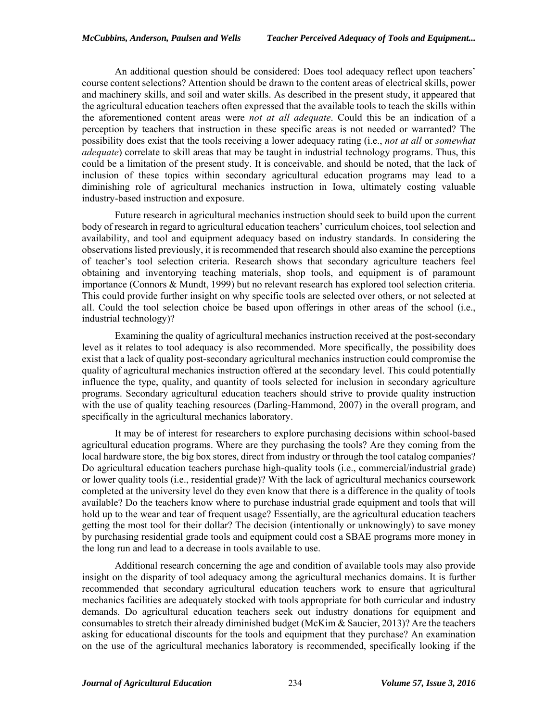An additional question should be considered: Does tool adequacy reflect upon teachers' course content selections? Attention should be drawn to the content areas of electrical skills, power and machinery skills, and soil and water skills. As described in the present study, it appeared that the agricultural education teachers often expressed that the available tools to teach the skills within the aforementioned content areas were *not at all adequate*. Could this be an indication of a perception by teachers that instruction in these specific areas is not needed or warranted? The possibility does exist that the tools receiving a lower adequacy rating (i.e., *not at all* or *somewhat adequate*) correlate to skill areas that may be taught in industrial technology programs. Thus, this could be a limitation of the present study. It is conceivable, and should be noted, that the lack of inclusion of these topics within secondary agricultural education programs may lead to a diminishing role of agricultural mechanics instruction in Iowa, ultimately costing valuable industry-based instruction and exposure.

Future research in agricultural mechanics instruction should seek to build upon the current body of research in regard to agricultural education teachers' curriculum choices, tool selection and availability, and tool and equipment adequacy based on industry standards. In considering the observations listed previously, it is recommended that research should also examine the perceptions of teacher's tool selection criteria. Research shows that secondary agriculture teachers feel obtaining and inventorying teaching materials, shop tools, and equipment is of paramount importance (Connors & Mundt, 1999) but no relevant research has explored tool selection criteria. This could provide further insight on why specific tools are selected over others, or not selected at all. Could the tool selection choice be based upon offerings in other areas of the school (i.e., industrial technology)?

Examining the quality of agricultural mechanics instruction received at the post-secondary level as it relates to tool adequacy is also recommended. More specifically, the possibility does exist that a lack of quality post-secondary agricultural mechanics instruction could compromise the quality of agricultural mechanics instruction offered at the secondary level. This could potentially influence the type, quality, and quantity of tools selected for inclusion in secondary agriculture programs. Secondary agricultural education teachers should strive to provide quality instruction with the use of quality teaching resources (Darling-Hammond, 2007) in the overall program, and specifically in the agricultural mechanics laboratory.

It may be of interest for researchers to explore purchasing decisions within school-based agricultural education programs. Where are they purchasing the tools? Are they coming from the local hardware store, the big box stores, direct from industry or through the tool catalog companies? Do agricultural education teachers purchase high-quality tools (i.e., commercial/industrial grade) or lower quality tools (i.e., residential grade)? With the lack of agricultural mechanics coursework completed at the university level do they even know that there is a difference in the quality of tools available? Do the teachers know where to purchase industrial grade equipment and tools that will hold up to the wear and tear of frequent usage? Essentially, are the agricultural education teachers getting the most tool for their dollar? The decision (intentionally or unknowingly) to save money by purchasing residential grade tools and equipment could cost a SBAE programs more money in the long run and lead to a decrease in tools available to use.

Additional research concerning the age and condition of available tools may also provide insight on the disparity of tool adequacy among the agricultural mechanics domains. It is further recommended that secondary agricultural education teachers work to ensure that agricultural mechanics facilities are adequately stocked with tools appropriate for both curricular and industry demands. Do agricultural education teachers seek out industry donations for equipment and consumables to stretch their already diminished budget (McKim & Saucier, 2013)? Are the teachers asking for educational discounts for the tools and equipment that they purchase? An examination on the use of the agricultural mechanics laboratory is recommended, specifically looking if the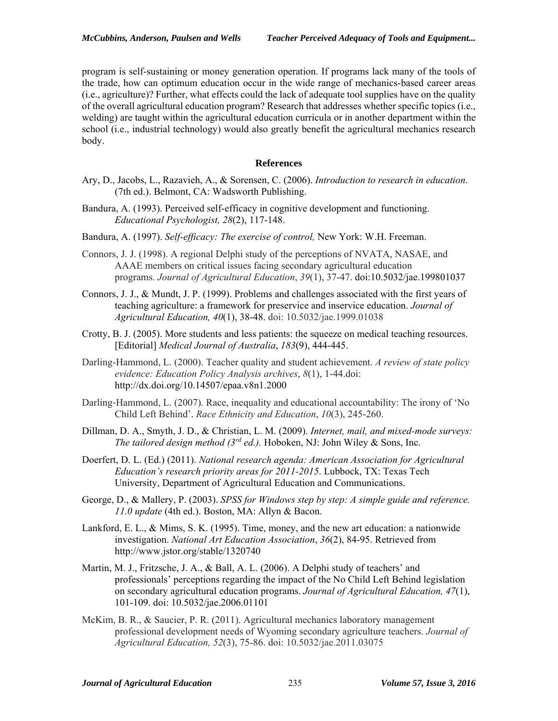program is self-sustaining or money generation operation. If programs lack many of the tools of the trade, how can optimum education occur in the wide range of mechanics-based career areas (i.e., agriculture)? Further, what effects could the lack of adequate tool supplies have on the quality of the overall agricultural education program? Research that addresses whether specific topics (i.e., welding) are taught within the agricultural education curricula or in another department within the school (i.e., industrial technology) would also greatly benefit the agricultural mechanics research body.

#### **References**

- Ary, D., Jacobs, L., Razavieh, A., & Sorensen, C. (2006). *Introduction to research in education.* (7th ed.). Belmont, CA: Wadsworth Publishing.
- Bandura, A. (1993). Perceived self-efficacy in cognitive development and functioning. *Educational Psychologist, 28*(2), 117-148.
- Bandura, A. (1997). *Self-efficacy: The exercise of control,* New York: W.H. Freeman.
- Connors, J. J. (1998). A regional Delphi study of the perceptions of NVATA, NASAE, and AAAE members on critical issues facing secondary agricultural education programs. *Journal of Agricultural Education*, *39*(1), 37-47. doi:10.5032/jae.199801037
- Connors, J. J., & Mundt, J. P. (1999). Problems and challenges associated with the first years of teaching agriculture: a framework for preservice and inservice education. *Journal of Agricultural Education, 40*(1), 38-48. doi: 10.5032/jae.1999.01038
- Crotty, B. J. (2005). More students and less patients: the squeeze on medical teaching resources. [Editorial] *Medical Journal of Australia*, *183*(9), 444-445.
- Darling-Hammond, L. (2000). Teacher quality and student achievement. *A review of state policy evidence: Education Policy Analysis archives*, *8*(1), 1-44.doi: http://dx.doi.org/10.14507/epaa.v8n1.2000
- Darling-Hammond, L. (2007). Race, inequality and educational accountability: The irony of 'No Child Left Behind'. *Race Ethnicity and Education*, *10*(3), 245-260.
- Dillman, D. A., Smyth, J. D., & Christian, L. M. (2009). *Internet, mail, and mixed-mode surveys: The tailored design method (3rd ed.).* Hoboken, NJ: John Wiley & Sons, Inc.
- Doerfert, D. L. (Ed.) (2011). *National research agenda: American Association for Agricultural Education's research priority areas for 2011-2015*. Lubbock, TX: Texas Tech University, Department of Agricultural Education and Communications.
- George, D., & Mallery, P. (2003). *SPSS for Windows step by step: A simple guide and reference. 11.0 update* (4th ed.). Boston, MA: Allyn & Bacon.
- Lankford, E. L., & Mims, S. K. (1995). Time, money, and the new art education: a nationwide investigation. *National Art Education Association*, *36*(2), 84-95. Retrieved from http://www.jstor.org/stable/1320740
- Martin, M. J., Fritzsche, J. A., & Ball, A. L. (2006). A Delphi study of teachers' and professionals' perceptions regarding the impact of the No Child Left Behind legislation on secondary agricultural education programs. *Journal of Agricultural Education, 47*(1), 101-109. doi: 10.5032/jae.2006.01101
- McKim, B. R., & Saucier, P. R. (2011). Agricultural mechanics laboratory management professional development needs of Wyoming secondary agriculture teachers. *Journal of Agricultural Education, 52*(3), 75-86. doi: 10.5032/jae.2011.03075